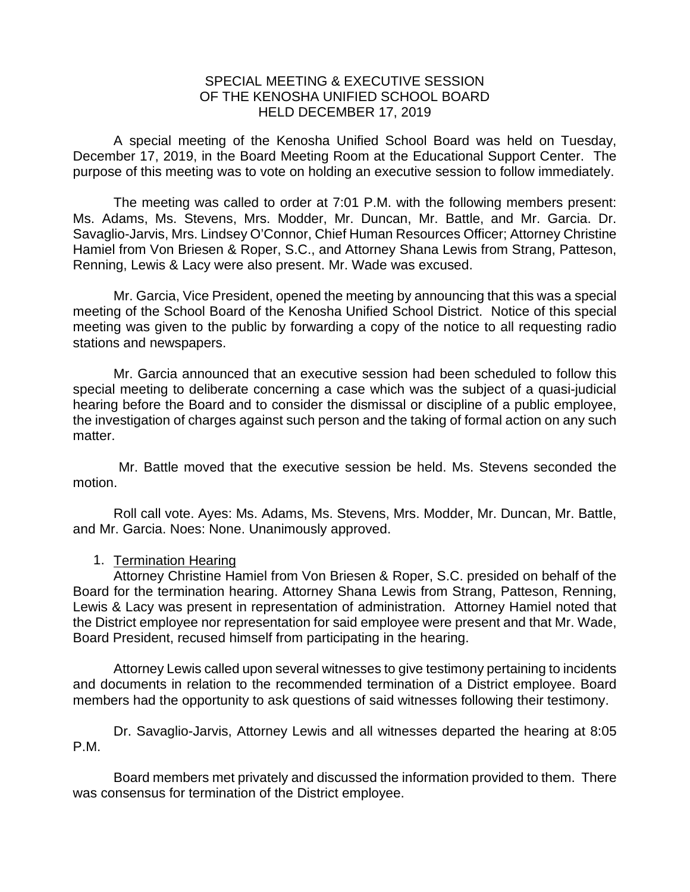## SPECIAL MEETING & EXECUTIVE SESSION OF THE KENOSHA UNIFIED SCHOOL BOARD HELD DECEMBER 17, 2019

A special meeting of the Kenosha Unified School Board was held on Tuesday, December 17, 2019, in the Board Meeting Room at the Educational Support Center. The purpose of this meeting was to vote on holding an executive session to follow immediately.

The meeting was called to order at 7:01 P.M. with the following members present: Ms. Adams, Ms. Stevens, Mrs. Modder, Mr. Duncan, Mr. Battle, and Mr. Garcia. Dr. Savaglio-Jarvis, Mrs. Lindsey O'Connor, Chief Human Resources Officer; Attorney Christine Hamiel from Von Briesen & Roper, S.C., and Attorney Shana Lewis from Strang, Patteson, Renning, Lewis & Lacy were also present. Mr. Wade was excused.

Mr. Garcia, Vice President, opened the meeting by announcing that this was a special meeting of the School Board of the Kenosha Unified School District. Notice of this special meeting was given to the public by forwarding a copy of the notice to all requesting radio stations and newspapers.

Mr. Garcia announced that an executive session had been scheduled to follow this special meeting to deliberate concerning a case which was the subject of a quasi-judicial hearing before the Board and to consider the dismissal or discipline of a public employee, the investigation of charges against such person and the taking of formal action on any such matter.

Mr. Battle moved that the executive session be held. Ms. Stevens seconded the motion.

Roll call vote. Ayes: Ms. Adams, Ms. Stevens, Mrs. Modder, Mr. Duncan, Mr. Battle, and Mr. Garcia. Noes: None. Unanimously approved.

## 1. Termination Hearing

Attorney Christine Hamiel from Von Briesen & Roper, S.C. presided on behalf of the Board for the termination hearing. Attorney Shana Lewis from Strang, Patteson, Renning, Lewis & Lacy was present in representation of administration. Attorney Hamiel noted that the District employee nor representation for said employee were present and that Mr. Wade, Board President, recused himself from participating in the hearing.

Attorney Lewis called upon several witnesses to give testimony pertaining to incidents and documents in relation to the recommended termination of a District employee. Board members had the opportunity to ask questions of said witnesses following their testimony.

Dr. Savaglio-Jarvis, Attorney Lewis and all witnesses departed the hearing at 8:05 P.M.

Board members met privately and discussed the information provided to them. There was consensus for termination of the District employee.